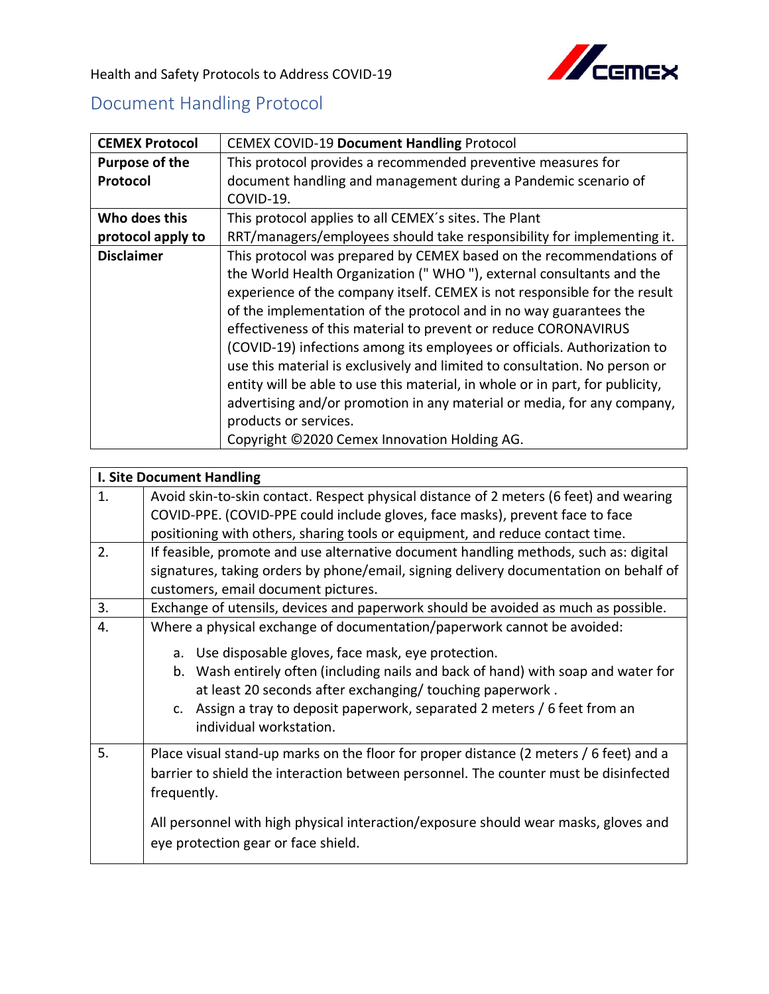

Health and Safety Protocols to Address COVID-19

## Document Handling Protocol

| <b>CEMEX Protocol</b> | <b>CEMEX COVID-19 Document Handling Protocol</b>                              |
|-----------------------|-------------------------------------------------------------------------------|
| <b>Purpose of the</b> | This protocol provides a recommended preventive measures for                  |
| Protocol              | document handling and management during a Pandemic scenario of                |
|                       | COVID-19.                                                                     |
| Who does this         | This protocol applies to all CEMEX's sites. The Plant                         |
| protocol apply to     | RRT/managers/employees should take responsibility for implementing it.        |
| <b>Disclaimer</b>     | This protocol was prepared by CEMEX based on the recommendations of           |
|                       | the World Health Organization ("WHO"), external consultants and the           |
|                       | experience of the company itself. CEMEX is not responsible for the result     |
|                       | of the implementation of the protocol and in no way guarantees the            |
|                       | effectiveness of this material to prevent or reduce CORONAVIRUS               |
|                       | (COVID-19) infections among its employees or officials. Authorization to      |
|                       | use this material is exclusively and limited to consultation. No person or    |
|                       | entity will be able to use this material, in whole or in part, for publicity, |
|                       | advertising and/or promotion in any material or media, for any company,       |
|                       | products or services.                                                         |
|                       | Copyright ©2020 Cemex Innovation Holding AG.                                  |

| <b>I. Site Document Handling</b> |                                                                                                                                                                                                                                                                                                                             |  |
|----------------------------------|-----------------------------------------------------------------------------------------------------------------------------------------------------------------------------------------------------------------------------------------------------------------------------------------------------------------------------|--|
| 1.                               | Avoid skin-to-skin contact. Respect physical distance of 2 meters (6 feet) and wearing                                                                                                                                                                                                                                      |  |
|                                  | COVID-PPE. (COVID-PPE could include gloves, face masks), prevent face to face                                                                                                                                                                                                                                               |  |
|                                  | positioning with others, sharing tools or equipment, and reduce contact time.                                                                                                                                                                                                                                               |  |
| 2.                               | If feasible, promote and use alternative document handling methods, such as: digital                                                                                                                                                                                                                                        |  |
|                                  | signatures, taking orders by phone/email, signing delivery documentation on behalf of                                                                                                                                                                                                                                       |  |
|                                  | customers, email document pictures.                                                                                                                                                                                                                                                                                         |  |
| 3.                               | Exchange of utensils, devices and paperwork should be avoided as much as possible.                                                                                                                                                                                                                                          |  |
| $\overline{4}$ .                 | Where a physical exchange of documentation/paperwork cannot be avoided:                                                                                                                                                                                                                                                     |  |
|                                  | a. Use disposable gloves, face mask, eye protection.<br>b. Wash entirely often (including nails and back of hand) with soap and water for<br>at least 20 seconds after exchanging/ touching paperwork.<br>c. Assign a tray to deposit paperwork, separated 2 meters / 6 feet from an<br>individual workstation.             |  |
| 5.                               | Place visual stand-up marks on the floor for proper distance (2 meters / 6 feet) and a<br>barrier to shield the interaction between personnel. The counter must be disinfected<br>frequently.<br>All personnel with high physical interaction/exposure should wear masks, gloves and<br>eye protection gear or face shield. |  |